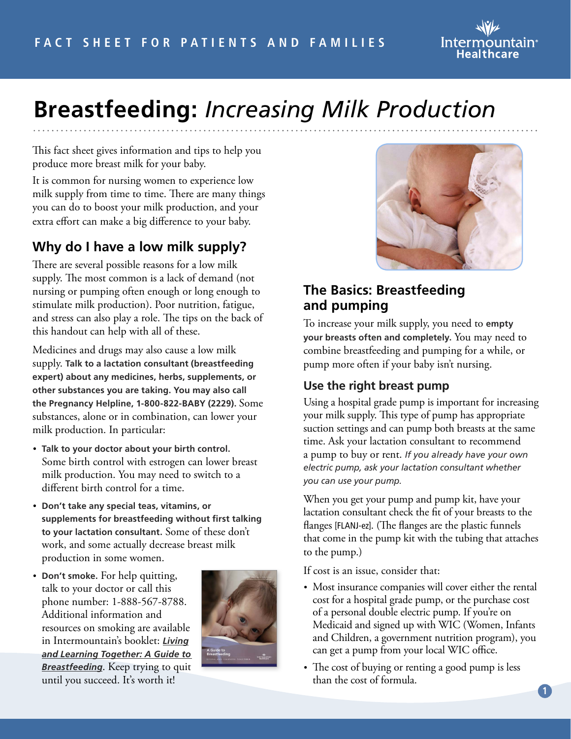

# **Breastfeeding:** *Increasing Milk Production*

This fact sheet gives information and tips to help you produce more breast milk for your baby.

It is common for nursing women to experience low milk supply from time to time. There are many things you can do to boost your milk production, and your extra effort can make a big difference to your baby.

# **Why do I have a low milk supply?**

There are several possible reasons for a low milk supply. The most common is a lack of demand (not nursing or pumping often enough or long enough to stimulate milk production). Poor nutrition, fatigue, and stress can also play a role. The tips on the back of this handout can help with all of these.

Medicines and drugs may also cause a low milk supply. **Talk to a lactation consultant (breastfeeding expert) about any medicines, herbs, supplements, or other substances you are taking. You may also call the Pregnancy Helpline, 1-800-822-BABY (2229).** Some substances, alone or in combination, can lower your milk production. In particular:

- **Talk to your doctor about your birth control.**  Some birth control with estrogen can lower breast milk production. You may need to switch to a different birth control for a time.
- **Don't take any special teas, vitamins, or supplements for breastfeeding without first talking to your lactation consultant.** Some of these don't work, and some actually decrease breast milk production in some women.
- **Don't smoke.** For help quitting, talk to your doctor or call this phone number: 1-888-567-8788. Additional information and resources on smoking are available in Intermountain's booklet: *[Living](https://kr.ihc.com/ext/Dcmnt?ncid=51062832&tfrm=default) [and Learning Together: A Guide to](https://kr.ihc.com/ext/Dcmnt?ncid=51062832&tfrm=default)  [Breastfeeding](https://kr.ihc.com/ext/Dcmnt?ncid=51062832&tfrm=default)*. Keep trying to quit until you succeed. It's worth it!





# **The Basics: Breastfeeding and pumping**

To increase your milk supply, you need to **empty your breasts often and completely.** You may need to combine breastfeeding and pumping for a while, or pump more often if your baby isn't nursing.

## **Use the right breast pump**

Using a hospital grade pump is important for increasing your milk supply. This type of pump has appropriate suction settings and can pump both breasts at the same time. Ask your lactation consultant to recommend a pump to buy or rent. *If you already have your own electric pump, ask your lactation consultant whether you can use your pump.*

When you get your pump and pump kit, have your lactation consultant check the fit of your breasts to the flanges [FLANJ-ez]. (The flanges are the plastic funnels that come in the pump kit with the tubing that attaches to the pump.)

If cost is an issue, consider that:

- Most insurance companies will cover either the rental cost for a hospital grade pump, or the purchase cost of a personal double electric pump. If you're on Medicaid and signed up with WIC (Women, Infants and Children, a government nutrition program), you can get a pump from your local WIC office.
- The cost of buying or renting a good pump is less than the cost of formula.